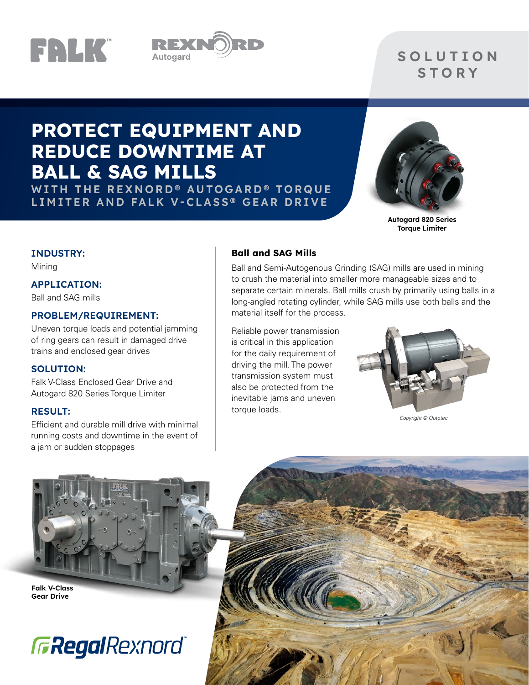



### **S O L U T I O N S T O R Y**

# **PROTECT EQUIPMENT AND REDUCE DOWNTIME AT BALL & SAG MILLS**

WITH THE REXNORD<sup>®</sup> AUTOGARD<sup>®</sup> TORQUE **LIMITER AND FALK V-CLASS® GEAR DRIVE**



**Autogard 820 Series Torque Limiter**

#### **INDUSTRY:**

Mining

#### **APPLICATION:**

Ball and SAG mills

#### **PROBLEM/REQUIREMENT:**

Uneven torque loads and potential jamming of ring gears can result in damaged drive trains and enclosed gear drives

#### **SOLUTION:**

Falk V-Class Enclosed Gear Drive and Autogard 820 Series Torque Limiter

#### **RESULT:**

Efficient and durable mill drive with minimal running costs and downtime in the event of a jam or sudden stoppages

#### **Ball and SAG Mills**

Ball and Semi-Autogenous Grinding (SAG) mills are used in mining to crush the material into smaller more manageable sizes and to separate certain minerals. Ball mills crush by primarily using balls in a long-angled rotating cylinder, while SAG mills use both balls and the material itself for the process.

Reliable power transmission is critical in this application for the daily requirement of driving the mill. The power transmission system must also be protected from the inevitable jams and uneven torque loads.



*Copyright © Outotec*



**Falk V-Class Gear Drive**